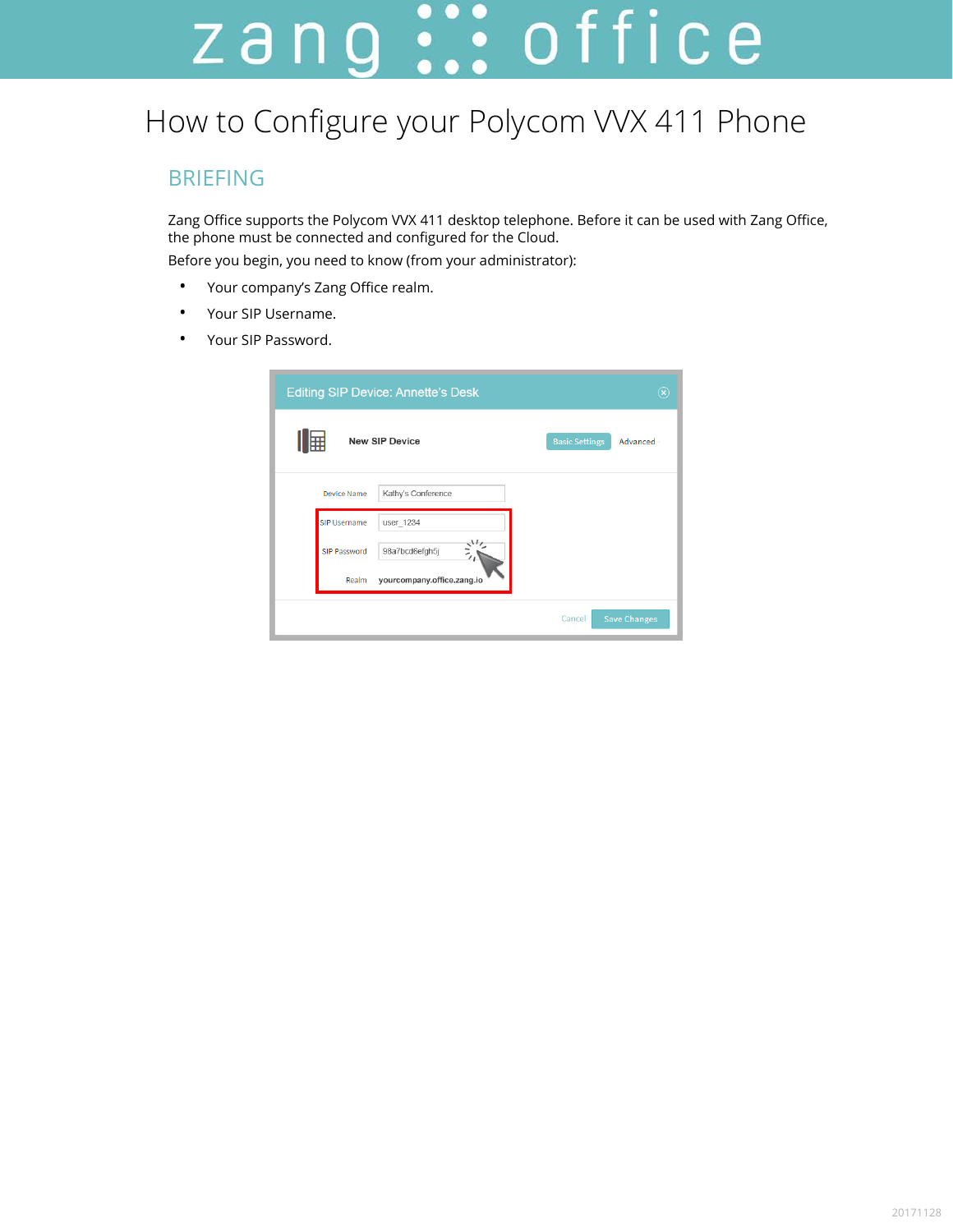# zang ::: office

# How to Configure your Polycom VVX 411 Phone

### BRIEFING

Zang Office supports the Polycom VVX 411 desktop telephone. Before it can be used with Zang Office, the phone must be connected and configured for the Cloud.

Before you begin, you need to know (from your administrator):

- Your company's Zang Office realm.
- Your SIP Username.
- Your SIP Password.

| <b>Editing SIP Device: Annette's Desk</b><br>$(\widehat{\mathbf{x}})$ |                                   |  |
|-----------------------------------------------------------------------|-----------------------------------|--|
| 賱<br><b>New SIP Device</b>                                            | <b>Basic Settings</b><br>Advanced |  |
| Kathy's Conference<br><b>Device Name</b>                              |                                   |  |
| <b>SIP Username</b><br>user_1234                                      |                                   |  |
| 98a7bcd6efqh5j<br>SIP Password                                        |                                   |  |
| yourcompany.office.zang.io<br>Realm                                   |                                   |  |
|                                                                       | <b>Save Changes</b><br>Cancel     |  |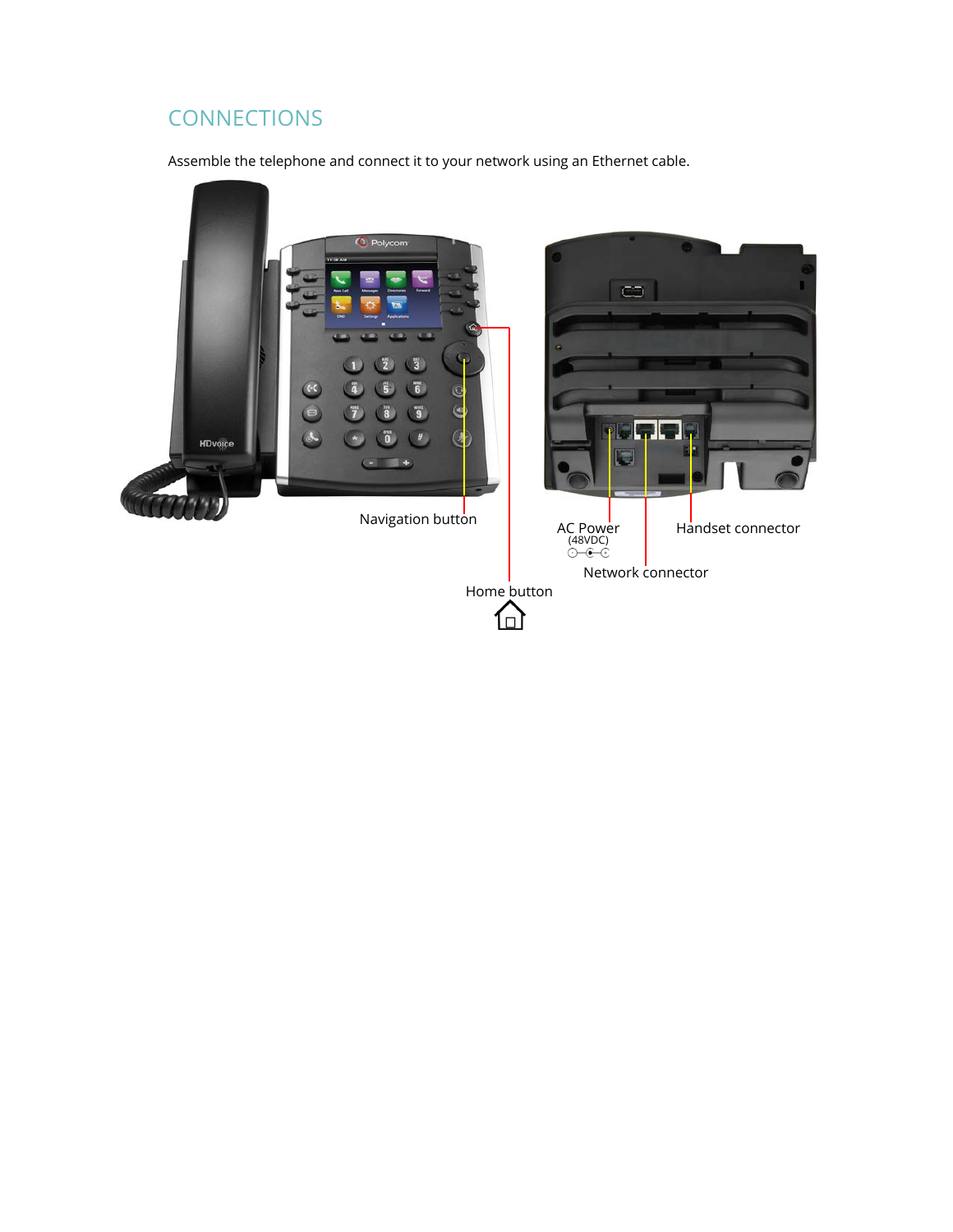# **CONNECTIONS**

Assemble the telephone and connect it to your network using an Ethernet cable.

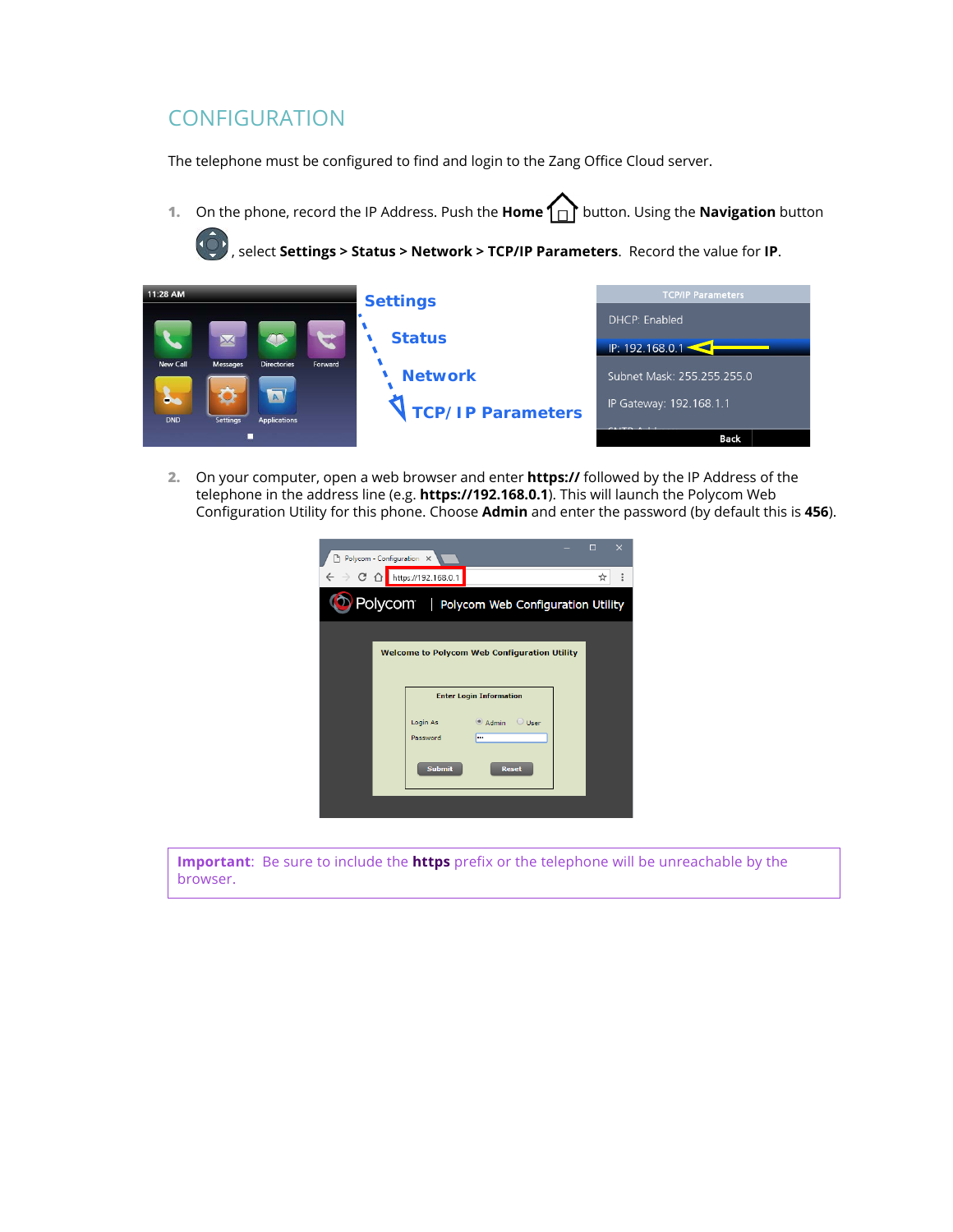#### **CONFIGURATION**

The telephone must be configured to find and login to the Zang Office Cloud server.

**1.** On the phone, record the IP Address. Push the **Home** button. Using the **Navigation** button

, select **Settings > Status > Network > TCP/IP Parameters**. Record the value for **IP**.



**2.** On your computer, open a web browser and enter **https://** followed by the IP Address of the telephone in the address line (e.g. **https://192.168.0.1**). This will launch the Polycom Web Configuration Utility for this phone. Choose **Admin** and enter the password (by default this is **456**).

|                                                     | Polycom - Configuration X                                 | $\Box$<br>×   |  |
|-----------------------------------------------------|-----------------------------------------------------------|---------------|--|
|                                                     | $\leftarrow$ $\rightarrow$ C $\Omega$ https://192.168.0.1 | $\vdots$<br>☆ |  |
| Polycom   Polycom Web Configuration Utility         |                                                           |               |  |
| <b>Welcome to Polycom Web Configuration Utility</b> |                                                           |               |  |
|                                                     | <b>Enter Login Information</b>                            |               |  |
|                                                     | Admin Ulser<br>Login As<br>Password<br>less.              |               |  |
|                                                     | <b>Submit</b><br><b>Reset</b>                             |               |  |
|                                                     |                                                           |               |  |

**Important**: Be sure to include the **https** prefix or the telephone will be unreachable by the browser.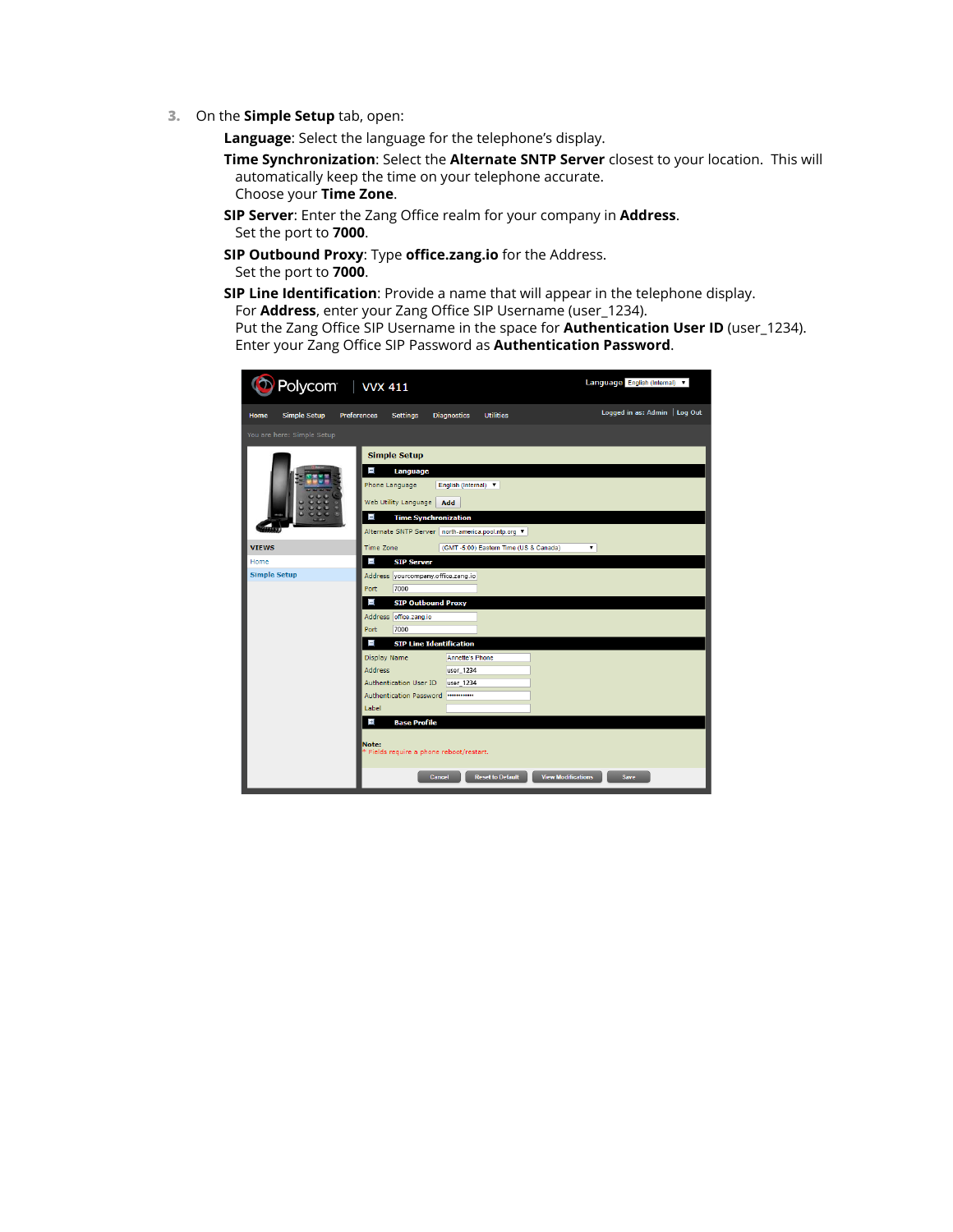**3.** On the **Simple Setup** tab, open:

**Language**: Select the language for the telephone's display.

- **Time Synchronization**: Select the **Alternate SNTP Server** closest to your location. This will automatically keep the time on your telephone accurate. Choose your **Time Zone**.
- **SIP Server**: Enter the Zang Office realm for your company in **Address**. Set the port to **7000**.
- **SIP Outbound Proxy**: Type **office.zang.io** for the Address. Set the port to **7000**.
- **SIP Line Identification**: Provide a name that will appear in the telephone display.

For **Address**, enter your Zang Office SIP Username (user\_1234).

Put the Zang Office SIP Username in the space for **Authentication User ID** (user\_1234). Enter your Zang Office SIP Password as **Authentication Password**.

| Language English (Internal) v<br>Polycom   VVX 411 |                                                                                                                                                                                                                        |                               |  |  |  |
|----------------------------------------------------|------------------------------------------------------------------------------------------------------------------------------------------------------------------------------------------------------------------------|-------------------------------|--|--|--|
| Simple Setup<br>Home                               | <b>Utilities</b><br><b>Preferences</b><br><b>Settings</b><br><b>Diagnostics</b>                                                                                                                                        | Logged in as: Admin   Log Out |  |  |  |
| You are here: Simple Setup                         |                                                                                                                                                                                                                        |                               |  |  |  |
|                                                    | <b>Simple Setup</b><br>$\blacksquare$<br>Language<br>Phone Language<br>English (Internal) v<br>Web Utility Language<br>Add<br>Ξ<br><b>Time Synchronization</b><br>Alternate SNTP Server   north-america.pool.ntp.org ▼ |                               |  |  |  |
| <b>VIEWS</b>                                       | Time Zone<br>(GMT-5:00) Eastern Time (US & Canada)                                                                                                                                                                     | ۷.                            |  |  |  |
| Home<br><b>Simple Setup</b>                        | $\blacksquare$<br><b>SIP Server</b>                                                                                                                                                                                    |                               |  |  |  |
|                                                    | Address yourcompany.office.zang.io<br>7000<br>Port<br>$\blacksquare$<br><b>SIP Outbound Proxy</b><br>Address office.zang.io                                                                                            |                               |  |  |  |
|                                                    | Port<br>7000                                                                                                                                                                                                           |                               |  |  |  |
|                                                    | П<br><b>SIP Line Identification</b>                                                                                                                                                                                    |                               |  |  |  |
|                                                    | <b>Display Name</b><br><b>Annette's Phone</b>                                                                                                                                                                          |                               |  |  |  |
|                                                    | <b>Address</b><br>user_1234<br>Authentication User ID<br>user_1234                                                                                                                                                     |                               |  |  |  |
|                                                    | <b>Authentication Password</b><br>                                                                                                                                                                                     |                               |  |  |  |
|                                                    | <b>Label</b>                                                                                                                                                                                                           |                               |  |  |  |
| $\pm$<br><b>Base Profile</b>                       |                                                                                                                                                                                                                        |                               |  |  |  |
|                                                    | Note:<br>* Fields require a phone reboot/restart.                                                                                                                                                                      |                               |  |  |  |
|                                                    | <b>Reset to Default</b><br><b>View Modifications</b><br><b>Cancel</b>                                                                                                                                                  | <b>Save</b>                   |  |  |  |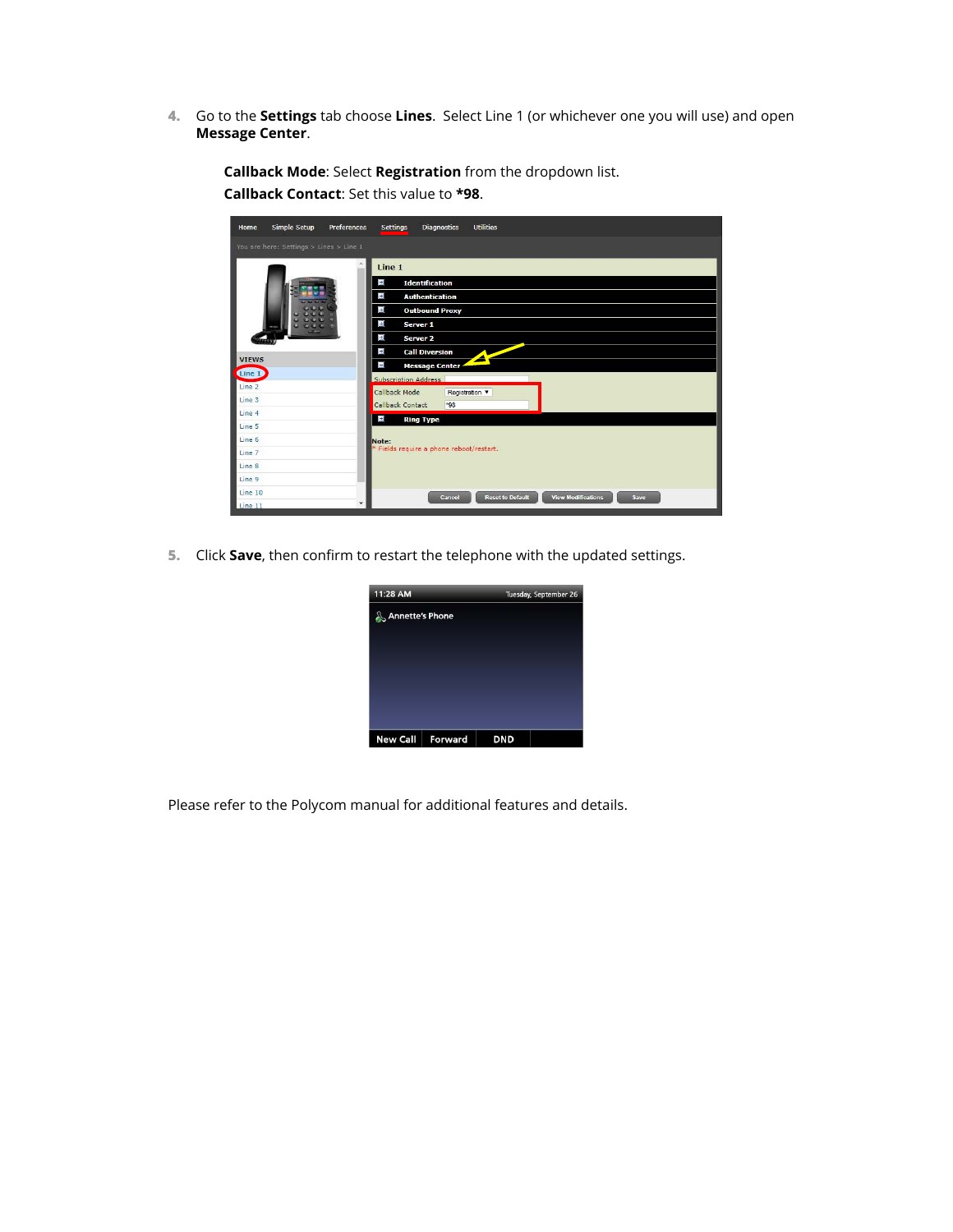**4.** Go to the **Settings** tab choose **Lines**. Select Line 1 (or whichever one you will use) and open **Message Center**.



**Callback Mode**: Select **Registration** from the dropdown list. **Callback Contact**: Set this value to **\*98**.

**5.** Click **Save**, then confirm to restart the telephone with the updated settings.

| 11:28 AM               |         | Tuesday, September 26 |  |
|------------------------|---------|-----------------------|--|
| <b>Annette's Phone</b> |         |                       |  |
|                        |         |                       |  |
|                        |         |                       |  |
| <b>New Call</b>        | Forward | <b>DND</b>            |  |

Please refer to the Polycom manual for additional features and details.